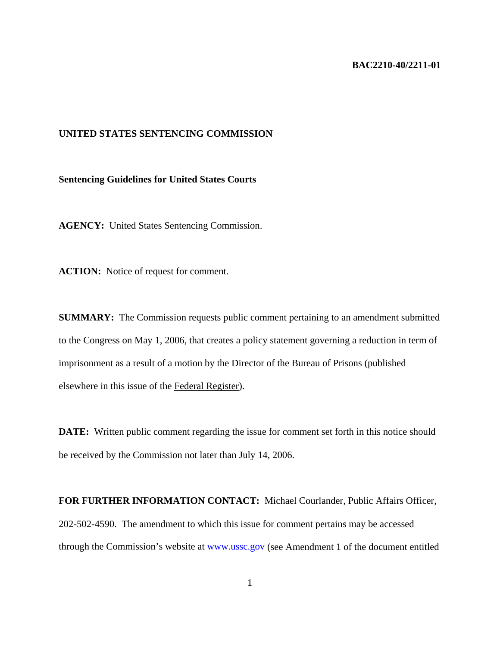## **BAC2210-40/2211-01**

## **UNITED STATES SENTENCING COMMISSION**

## **Sentencing Guidelines for United States Courts**

**AGENCY:** United States Sentencing Commission.

**ACTION:** Notice of request for comment.

**SUMMARY:** The Commission requests public comment pertaining to an amendment submitted to the Congress on May 1, 2006, that creates a policy statement governing a reduction in term of imprisonment as a result of a motion by the Director of the Bureau of Prisons (published elsewhere in this issue of the Federal Register).

**DATE:** Written public comment regarding the issue for comment set forth in this notice should be received by the Commission not later than July 14, 2006.

**FOR FURTHER INFORMATION CONTACT:** Michael Courlander, Public Affairs Officer, 202-502-4590. The amendment to which this issue for comment pertains may be accessed through the Commission's website at www.ussc.gov (see Amendment 1 of the document entitled